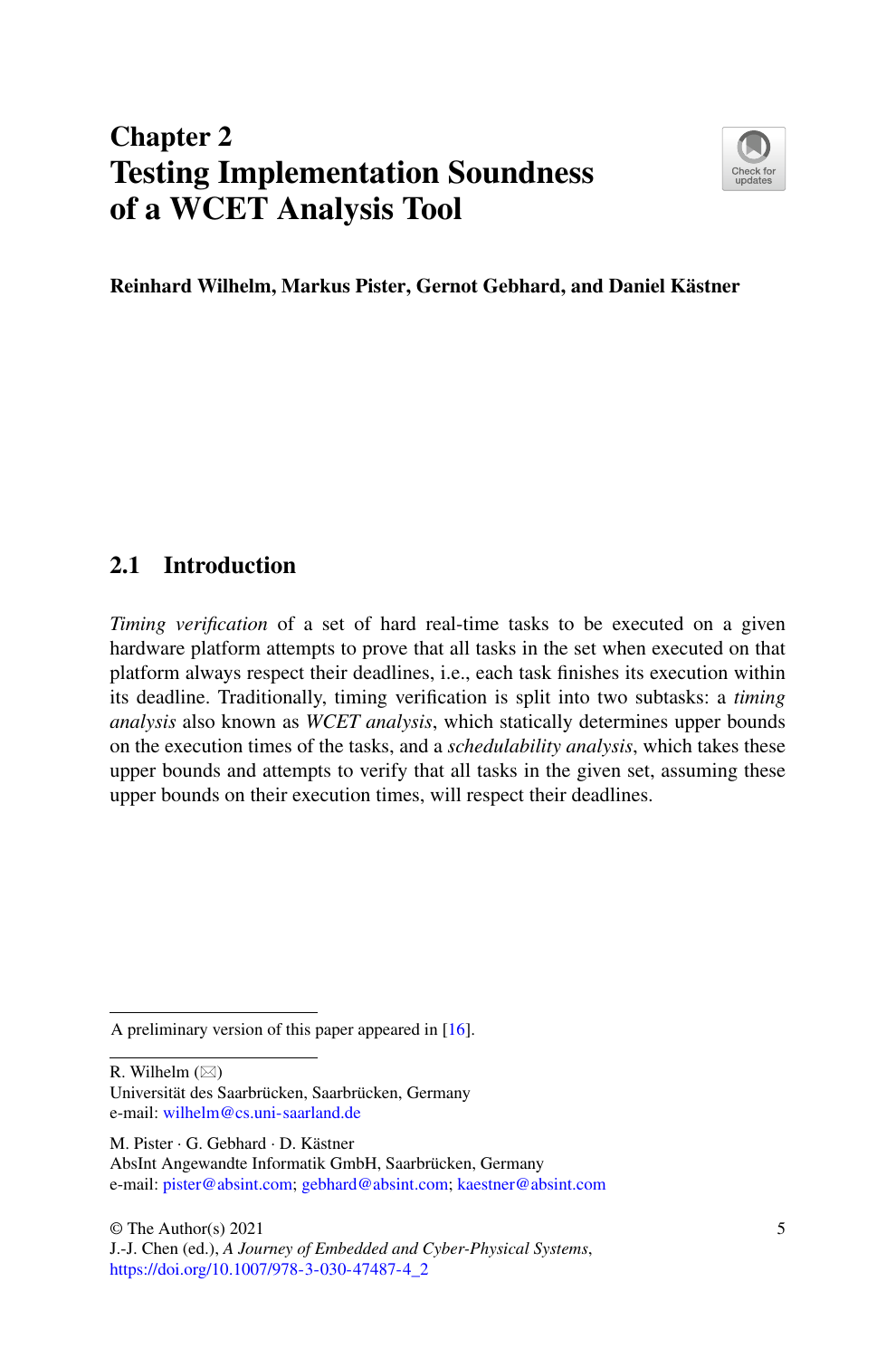# **Chapter 2 Testing Implementation Soundness of a WCET Analysis Tool**



**Reinhard Wilhelm, Markus Pister, Gernot Gebhard, and Daniel Kästner**

## **2.1 Introduction**

*Timing verification* of a set of hard real-time tasks to be executed on a given hardware platform attempts to prove that all tasks in the set when executed on that platform always respect their deadlines, i.e., each task finishes its execution within its deadline. Traditionally, timing verification is split into two subtasks: a *timing analysis* also known as *WCET analysis*, which statically determines upper bounds on the execution times of the tasks, and a *schedulability analysis*, which takes these upper bounds and attempts to verify that all tasks in the given set, assuming these upper bounds on their execution times, will respect their deadlines.

A preliminary version of this paper appeared in [\[16\]](#page-11-0).

R. Wilhelm  $(\boxtimes)$ 

M. Pister · G. Gebhard · D. Kästner

AbsInt Angewandte Informatik GmbH, Saarbrücken, Germany e-mail: [pister@absint.com;](mailto:pister@absint.com) [gebhard@absint.com;](mailto:gebhard@absint.com) [kaestner@absint.com](mailto:kaestner@absint.com)

Universität des Saarbrücken, Saarbrücken, Germany e-mail: [wilhelm@cs.uni-saarland.de](mailto:wilhelm@cs.uni-saarland.de)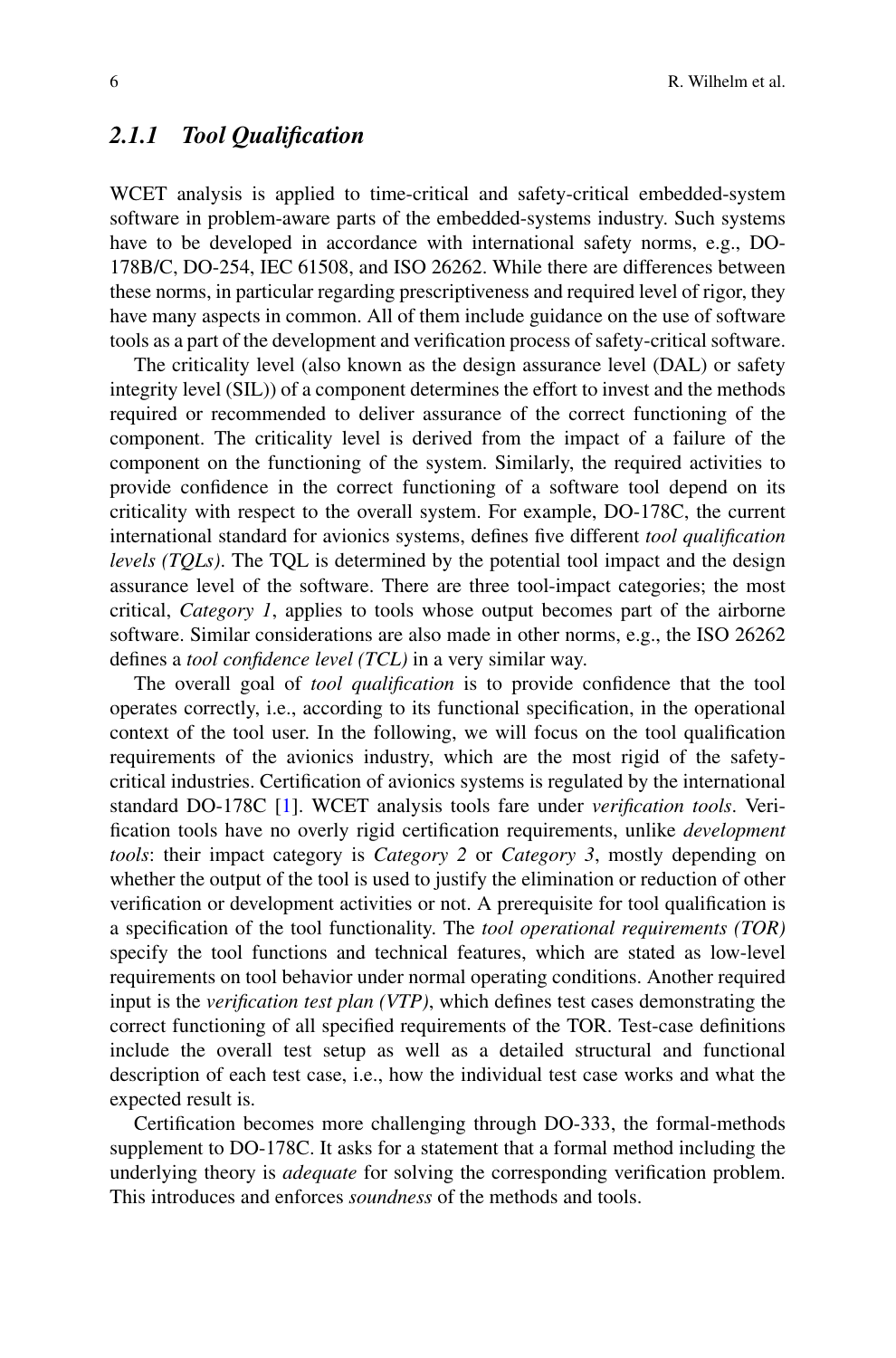## *2.1.1 Tool Qualification*

WCET analysis is applied to time-critical and safety-critical embedded-system software in problem-aware parts of the embedded-systems industry. Such systems have to be developed in accordance with international safety norms, e.g., DO-178B/C, DO-254, IEC 61508, and ISO 26262. While there are differences between these norms, in particular regarding prescriptiveness and required level of rigor, they have many aspects in common. All of them include guidance on the use of software tools as a part of the development and verification process of safety-critical software.

The criticality level (also known as the design assurance level (DAL) or safety integrity level (SIL)) of a component determines the effort to invest and the methods required or recommended to deliver assurance of the correct functioning of the component. The criticality level is derived from the impact of a failure of the component on the functioning of the system. Similarly, the required activities to provide confidence in the correct functioning of a software tool depend on its criticality with respect to the overall system. For example, DO-178C, the current international standard for avionics systems, defines five different *tool qualification levels (TQLs)*. The TQL is determined by the potential tool impact and the design assurance level of the software. There are three tool-impact categories; the most critical, *Category 1*, applies to tools whose output becomes part of the airborne software. Similar considerations are also made in other norms, e.g., the ISO 26262 defines a *tool confidence level (TCL)* in a very similar way.

The overall goal of *tool qualification* is to provide confidence that the tool operates correctly, i.e., according to its functional specification, in the operational context of the tool user. In the following, we will focus on the tool qualification requirements of the avionics industry, which are the most rigid of the safetycritical industries. Certification of avionics systems is regulated by the international standard DO-178C [\[1\]](#page-11-1). WCET analysis tools fare under *verification tools*. Verification tools have no overly rigid certification requirements, unlike *development tools*: their impact category is *Category 2* or *Category 3*, mostly depending on whether the output of the tool is used to justify the elimination or reduction of other verification or development activities or not. A prerequisite for tool qualification is a specification of the tool functionality. The *tool operational requirements (TOR)* specify the tool functions and technical features, which are stated as low-level requirements on tool behavior under normal operating conditions. Another required input is the *verification test plan (VTP)*, which defines test cases demonstrating the correct functioning of all specified requirements of the TOR. Test-case definitions include the overall test setup as well as a detailed structural and functional description of each test case, i.e., how the individual test case works and what the expected result is.

Certification becomes more challenging through DO-333, the formal-methods supplement to DO-178C. It asks for a statement that a formal method including the underlying theory is *adequate* for solving the corresponding verification problem. This introduces and enforces *soundness* of the methods and tools.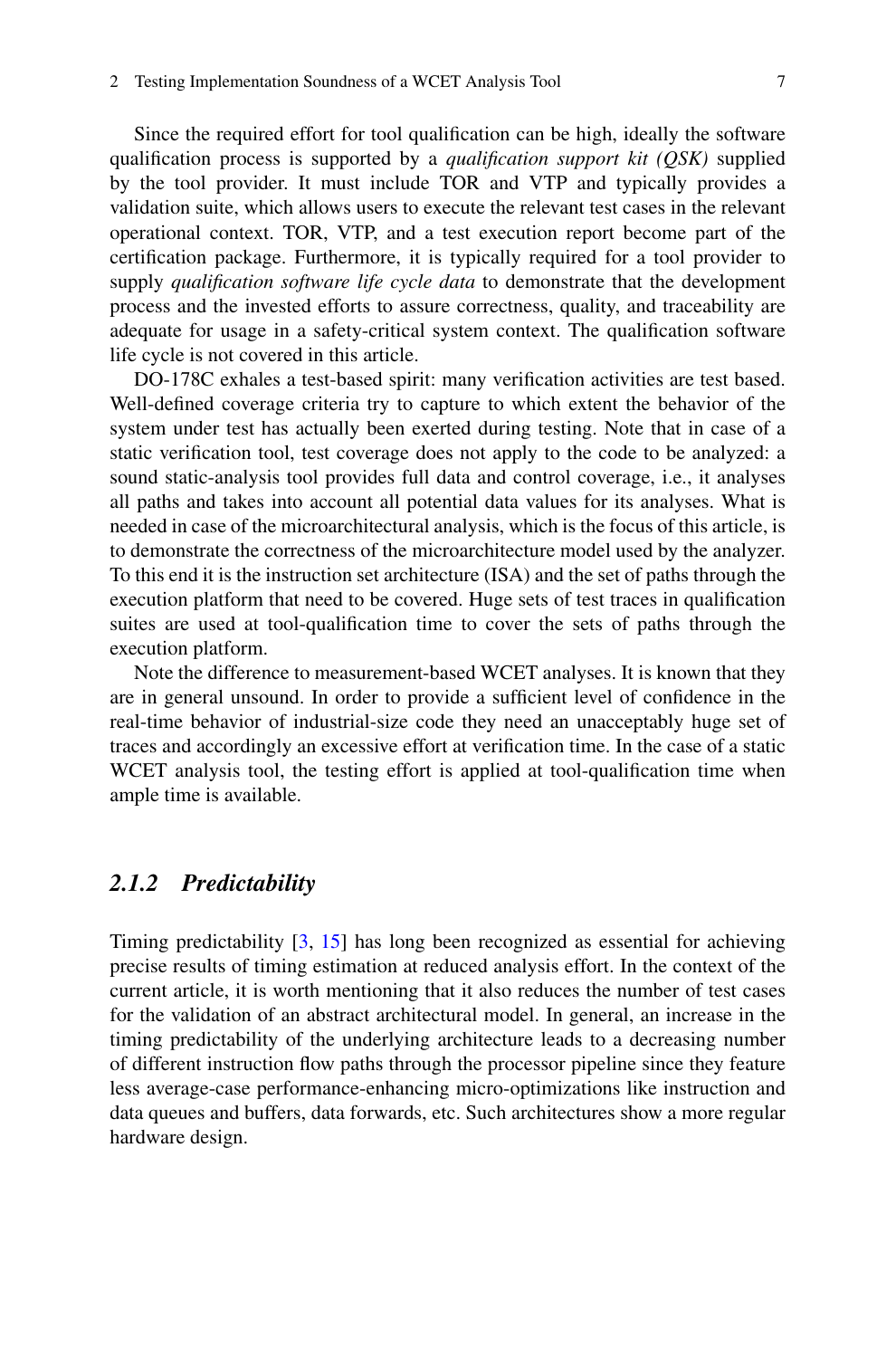Since the required effort for tool qualification can be high, ideally the software qualification process is supported by a *qualification support kit (QSK)* supplied by the tool provider. It must include TOR and VTP and typically provides a validation suite, which allows users to execute the relevant test cases in the relevant operational context. TOR, VTP, and a test execution report become part of the certification package. Furthermore, it is typically required for a tool provider to supply *qualification software life cycle data* to demonstrate that the development process and the invested efforts to assure correctness, quality, and traceability are adequate for usage in a safety-critical system context. The qualification software life cycle is not covered in this article.

DO-178C exhales a test-based spirit: many verification activities are test based. Well-defined coverage criteria try to capture to which extent the behavior of the system under test has actually been exerted during testing. Note that in case of a static verification tool, test coverage does not apply to the code to be analyzed: a sound static-analysis tool provides full data and control coverage, i.e., it analyses all paths and takes into account all potential data values for its analyses. What is needed in case of the microarchitectural analysis, which is the focus of this article, is to demonstrate the correctness of the microarchitecture model used by the analyzer. To this end it is the instruction set architecture (ISA) and the set of paths through the execution platform that need to be covered. Huge sets of test traces in qualification suites are used at tool-qualification time to cover the sets of paths through the execution platform.

Note the difference to measurement-based WCET analyses. It is known that they are in general unsound. In order to provide a sufficient level of confidence in the real-time behavior of industrial-size code they need an unacceptably huge set of traces and accordingly an excessive effort at verification time. In the case of a static WCET analysis tool, the testing effort is applied at tool-qualification time when ample time is available.

## <span id="page-2-0"></span>*2.1.2 Predictability*

Timing predictability [\[3,](#page-11-2) [15\]](#page-11-3) has long been recognized as essential for achieving precise results of timing estimation at reduced analysis effort. In the context of the current article, it is worth mentioning that it also reduces the number of test cases for the validation of an abstract architectural model. In general, an increase in the timing predictability of the underlying architecture leads to a decreasing number of different instruction flow paths through the processor pipeline since they feature less average-case performance-enhancing micro-optimizations like instruction and data queues and buffers, data forwards, etc. Such architectures show a more regular hardware design.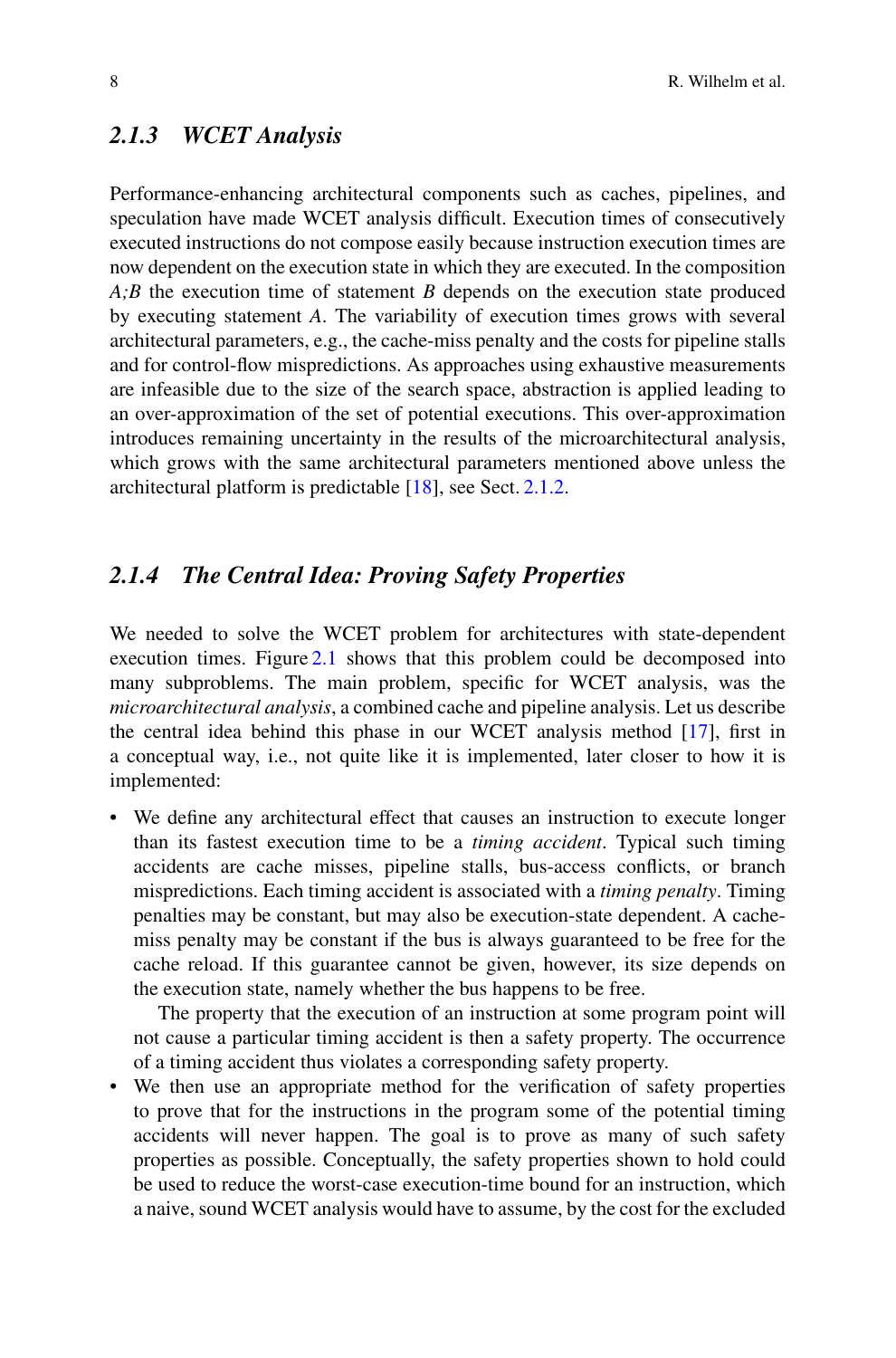## *2.1.3 WCET Analysis*

Performance-enhancing architectural components such as caches, pipelines, and speculation have made WCET analysis difficult. Execution times of consecutively executed instructions do not compose easily because instruction execution times are now dependent on the execution state in which they are executed. In the composition *A;B* the execution time of statement *B* depends on the execution state produced by executing statement *A*. The variability of execution times grows with several architectural parameters, e.g., the cache-miss penalty and the costs for pipeline stalls and for control-flow mispredictions. As approaches using exhaustive measurements are infeasible due to the size of the search space, abstraction is applied leading to an over-approximation of the set of potential executions. This over-approximation introduces remaining uncertainty in the results of the microarchitectural analysis, which grows with the same architectural parameters mentioned above unless the architectural platform is predictable [\[18\]](#page-12-0), see Sect. [2.1.2.](#page-2-0)

## *2.1.4 The Central Idea: Proving Safety Properties*

We needed to solve the WCET problem for architectures with state-dependent execution times. Figure [2.1](#page-4-0) shows that this problem could be decomposed into many subproblems. The main problem, specific for WCET analysis, was the *microarchitectural analysis*, a combined cache and pipeline analysis. Let us describe the central idea behind this phase in our WCET analysis method [\[17\]](#page-12-1), first in a conceptual way, i.e., not quite like it is implemented, later closer to how it is implemented:

• We define any architectural effect that causes an instruction to execute longer than its fastest execution time to be a *timing accident*. Typical such timing accidents are cache misses, pipeline stalls, bus-access conflicts, or branch mispredictions. Each timing accident is associated with a *timing penalty*. Timing penalties may be constant, but may also be execution-state dependent. A cachemiss penalty may be constant if the bus is always guaranteed to be free for the cache reload. If this guarantee cannot be given, however, its size depends on the execution state, namely whether the bus happens to be free.

The property that the execution of an instruction at some program point will not cause a particular timing accident is then a safety property. The occurrence of a timing accident thus violates a corresponding safety property.

• We then use an appropriate method for the verification of safety properties to prove that for the instructions in the program some of the potential timing accidents will never happen. The goal is to prove as many of such safety properties as possible. Conceptually, the safety properties shown to hold could be used to reduce the worst-case execution-time bound for an instruction, which a naive, sound WCET analysis would have to assume, by the cost for the excluded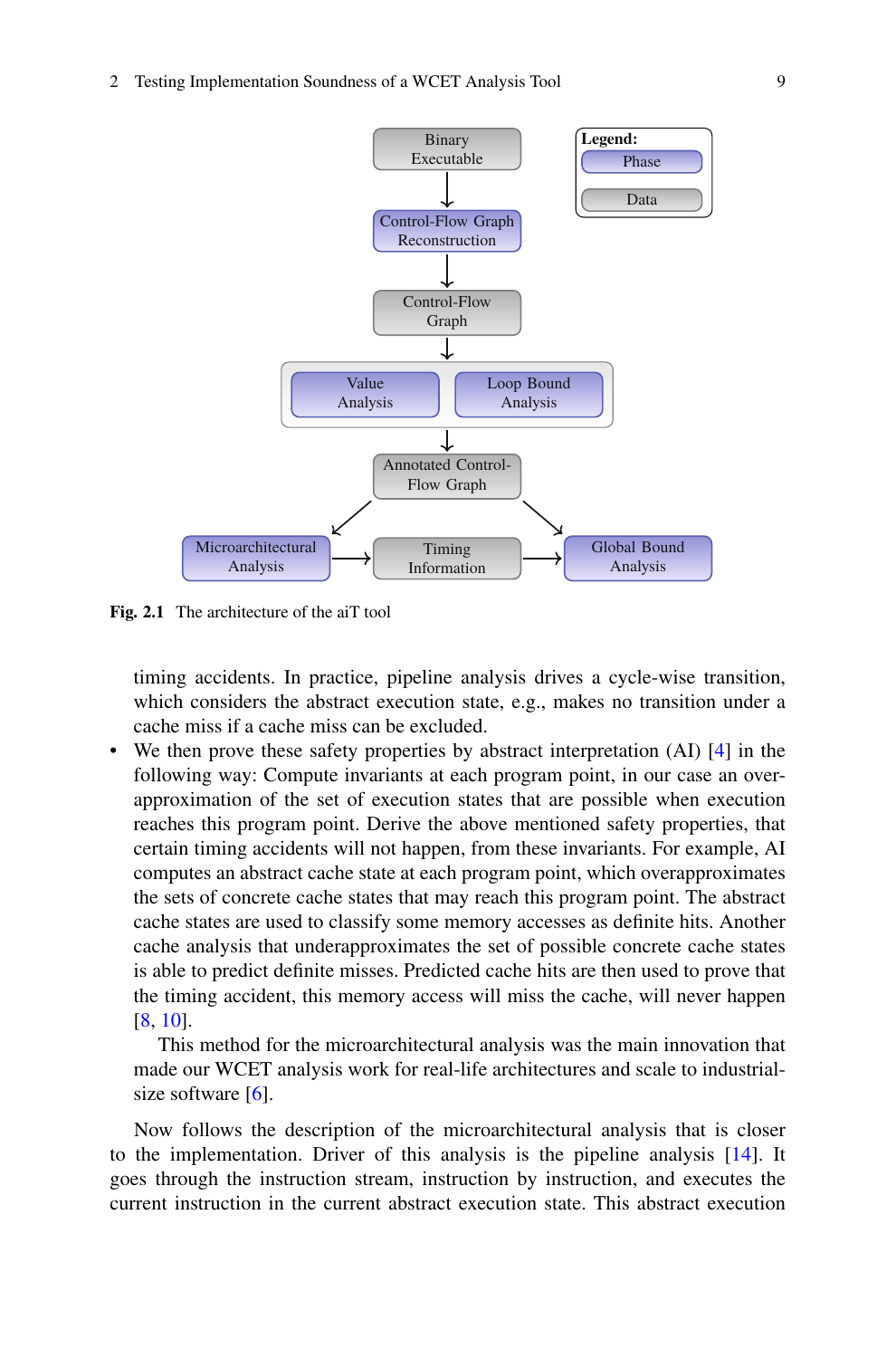

**Fig. 2.1** The architecture of the aiT tool

<span id="page-4-0"></span>timing accidents. In practice, pipeline analysis drives a cycle-wise transition, which considers the abstract execution state, e.g., makes no transition under a cache miss if a cache miss can be excluded.

• We then prove these safety properties by abstract interpretation (AI) [\[4\]](#page-11-4) in the following way: Compute invariants at each program point, in our case an overapproximation of the set of execution states that are possible when execution reaches this program point. Derive the above mentioned safety properties, that certain timing accidents will not happen, from these invariants. For example, AI computes an abstract cache state at each program point, which overapproximates the sets of concrete cache states that may reach this program point. The abstract cache states are used to classify some memory accesses as definite hits. Another cache analysis that underapproximates the set of possible concrete cache states is able to predict definite misses. Predicted cache hits are then used to prove that the timing accident, this memory access will miss the cache, will never happen [\[8,](#page-11-5) [10\]](#page-11-6).

This method for the microarchitectural analysis was the main innovation that made our WCET analysis work for real-life architectures and scale to industrialsize software  $[6]$ .

Now follows the description of the microarchitectural analysis that is closer to the implementation. Driver of this analysis is the pipeline analysis [\[14\]](#page-11-8). It goes through the instruction stream, instruction by instruction, and executes the current instruction in the current abstract execution state. This abstract execution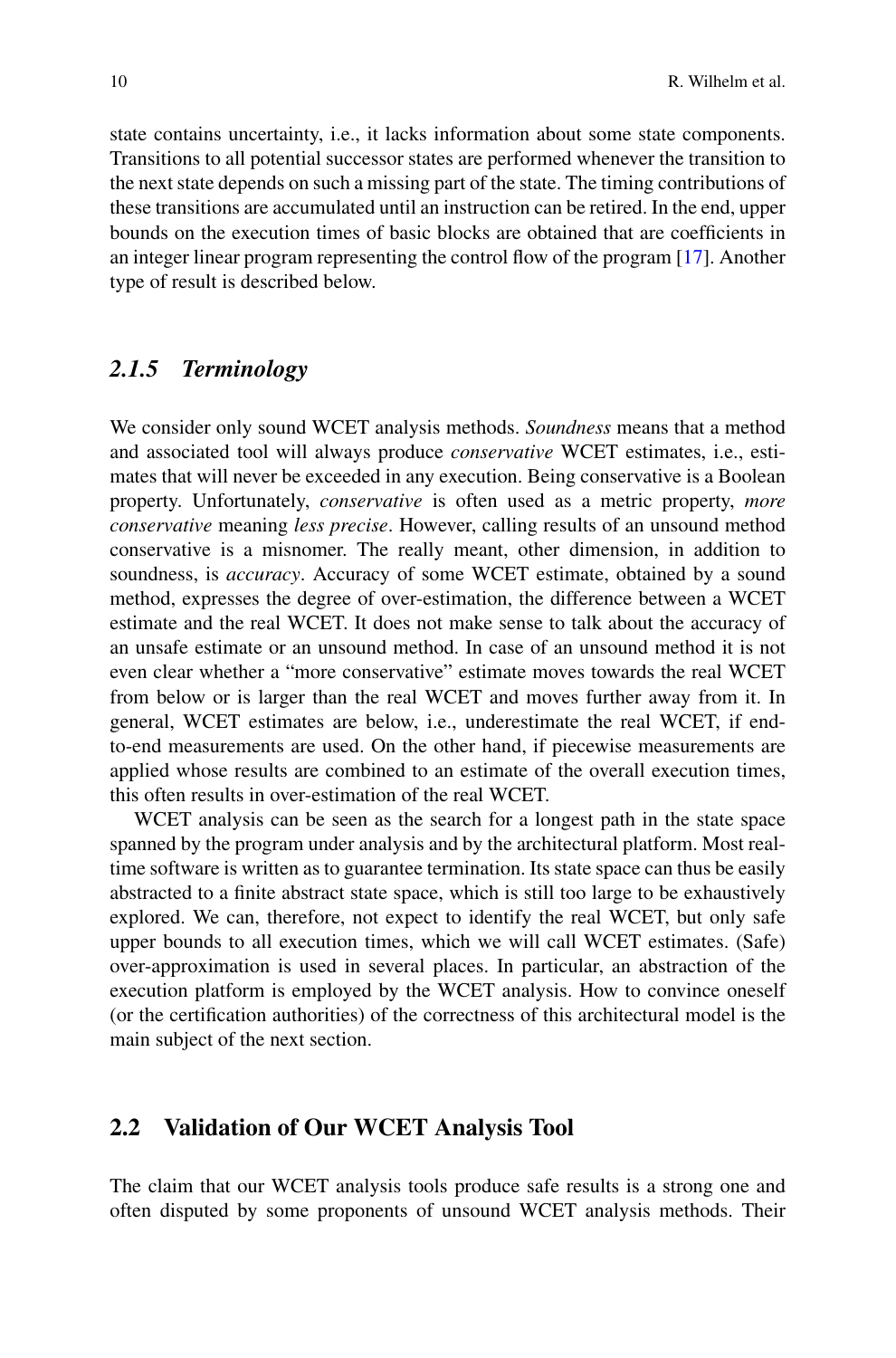state contains uncertainty, i.e., it lacks information about some state components. Transitions to all potential successor states are performed whenever the transition to the next state depends on such a missing part of the state. The timing contributions of these transitions are accumulated until an instruction can be retired. In the end, upper bounds on the execution times of basic blocks are obtained that are coefficients in an integer linear program representing the control flow of the program [\[17\]](#page-12-1). Another type of result is described below.

## *2.1.5 Terminology*

We consider only sound WCET analysis methods. *Soundness* means that a method and associated tool will always produce *conservative* WCET estimates, i.e., estimates that will never be exceeded in any execution. Being conservative is a Boolean property. Unfortunately, *conservative* is often used as a metric property, *more conservative* meaning *less precise*. However, calling results of an unsound method conservative is a misnomer. The really meant, other dimension, in addition to soundness, is *accuracy*. Accuracy of some WCET estimate, obtained by a sound method, expresses the degree of over-estimation, the difference between a WCET estimate and the real WCET. It does not make sense to talk about the accuracy of an unsafe estimate or an unsound method. In case of an unsound method it is not even clear whether a "more conservative" estimate moves towards the real WCET from below or is larger than the real WCET and moves further away from it. In general, WCET estimates are below, i.e., underestimate the real WCET, if endto-end measurements are used. On the other hand, if piecewise measurements are applied whose results are combined to an estimate of the overall execution times, this often results in over-estimation of the real WCET.

WCET analysis can be seen as the search for a longest path in the state space spanned by the program under analysis and by the architectural platform. Most realtime software is written as to guarantee termination. Its state space can thus be easily abstracted to a finite abstract state space, which is still too large to be exhaustively explored. We can, therefore, not expect to identify the real WCET, but only safe upper bounds to all execution times, which we will call WCET estimates. (Safe) over-approximation is used in several places. In particular, an abstraction of the execution platform is employed by the WCET analysis. How to convince oneself (or the certification authorities) of the correctness of this architectural model is the main subject of the next section.

### **2.2 Validation of Our WCET Analysis Tool**

The claim that our WCET analysis tools produce safe results is a strong one and often disputed by some proponents of unsound WCET analysis methods. Their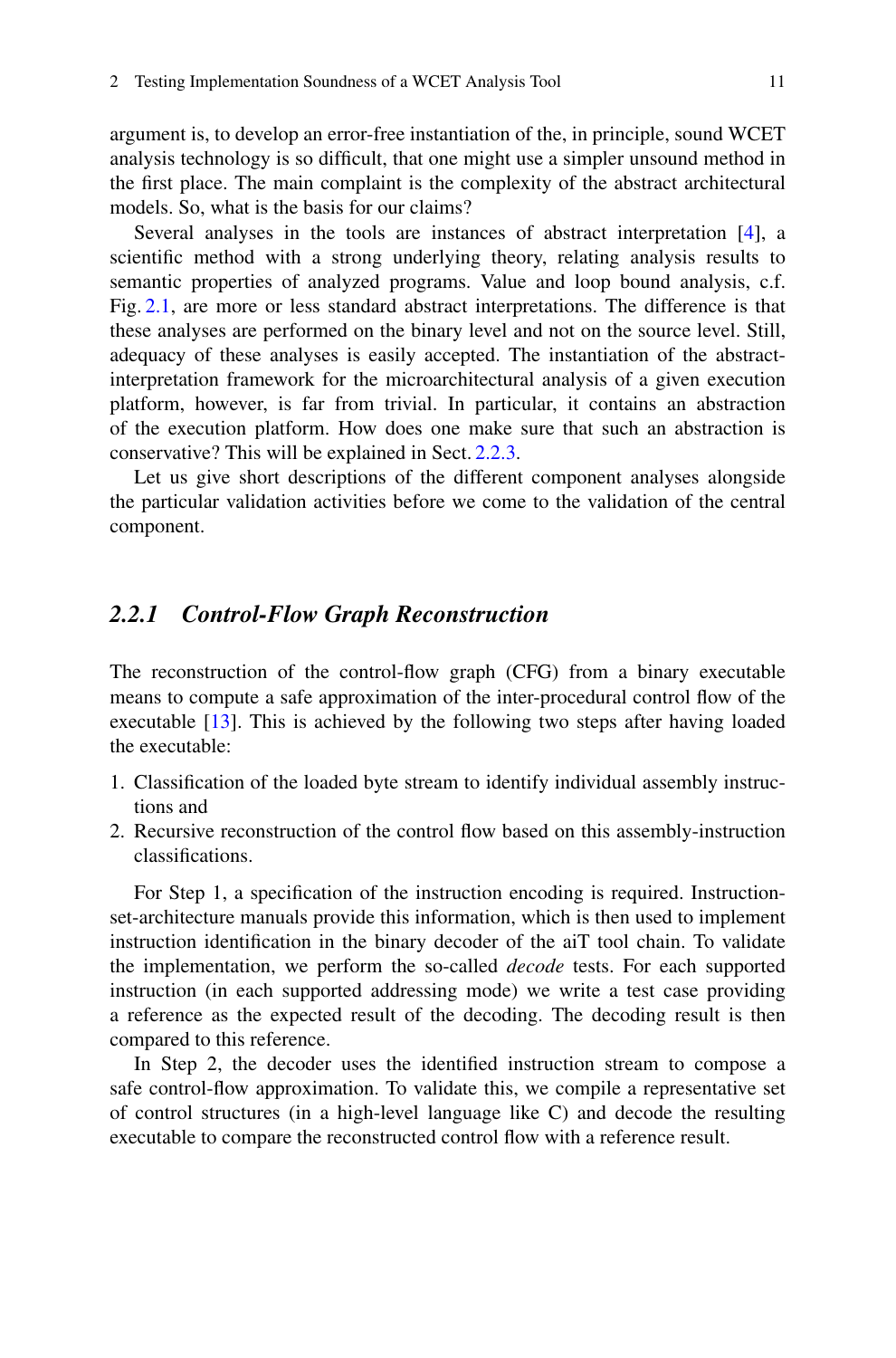argument is, to develop an error-free instantiation of the, in principle, sound WCET analysis technology is so difficult, that one might use a simpler unsound method in the first place. The main complaint is the complexity of the abstract architectural models. So, what is the basis for our claims?

Several analyses in the tools are instances of abstract interpretation [\[4\]](#page-11-4), a scientific method with a strong underlying theory, relating analysis results to semantic properties of analyzed programs. Value and loop bound analysis, c.f. Fig. [2.1,](#page-4-0) are more or less standard abstract interpretations. The difference is that these analyses are performed on the binary level and not on the source level. Still, adequacy of these analyses is easily accepted. The instantiation of the abstractinterpretation framework for the microarchitectural analysis of a given execution platform, however, is far from trivial. In particular, it contains an abstraction of the execution platform. How does one make sure that such an abstraction is conservative? This will be explained in Sect. [2.2.3.](#page-7-0)

Let us give short descriptions of the different component analyses alongside the particular validation activities before we come to the validation of the central component.

#### *2.2.1 Control-Flow Graph Reconstruction*

The reconstruction of the control-flow graph (CFG) from a binary executable means to compute a safe approximation of the inter-procedural control flow of the executable [\[13\]](#page-11-9). This is achieved by the following two steps after having loaded the executable:

- 1. Classification of the loaded byte stream to identify individual assembly instructions and
- 2. Recursive reconstruction of the control flow based on this assembly-instruction classifications.

For Step 1, a specification of the instruction encoding is required. Instructionset-architecture manuals provide this information, which is then used to implement instruction identification in the binary decoder of the aiT tool chain. To validate the implementation, we perform the so-called *decode* tests. For each supported instruction (in each supported addressing mode) we write a test case providing a reference as the expected result of the decoding. The decoding result is then compared to this reference.

In Step 2, the decoder uses the identified instruction stream to compose a safe control-flow approximation. To validate this, we compile a representative set of control structures (in a high-level language like C) and decode the resulting executable to compare the reconstructed control flow with a reference result.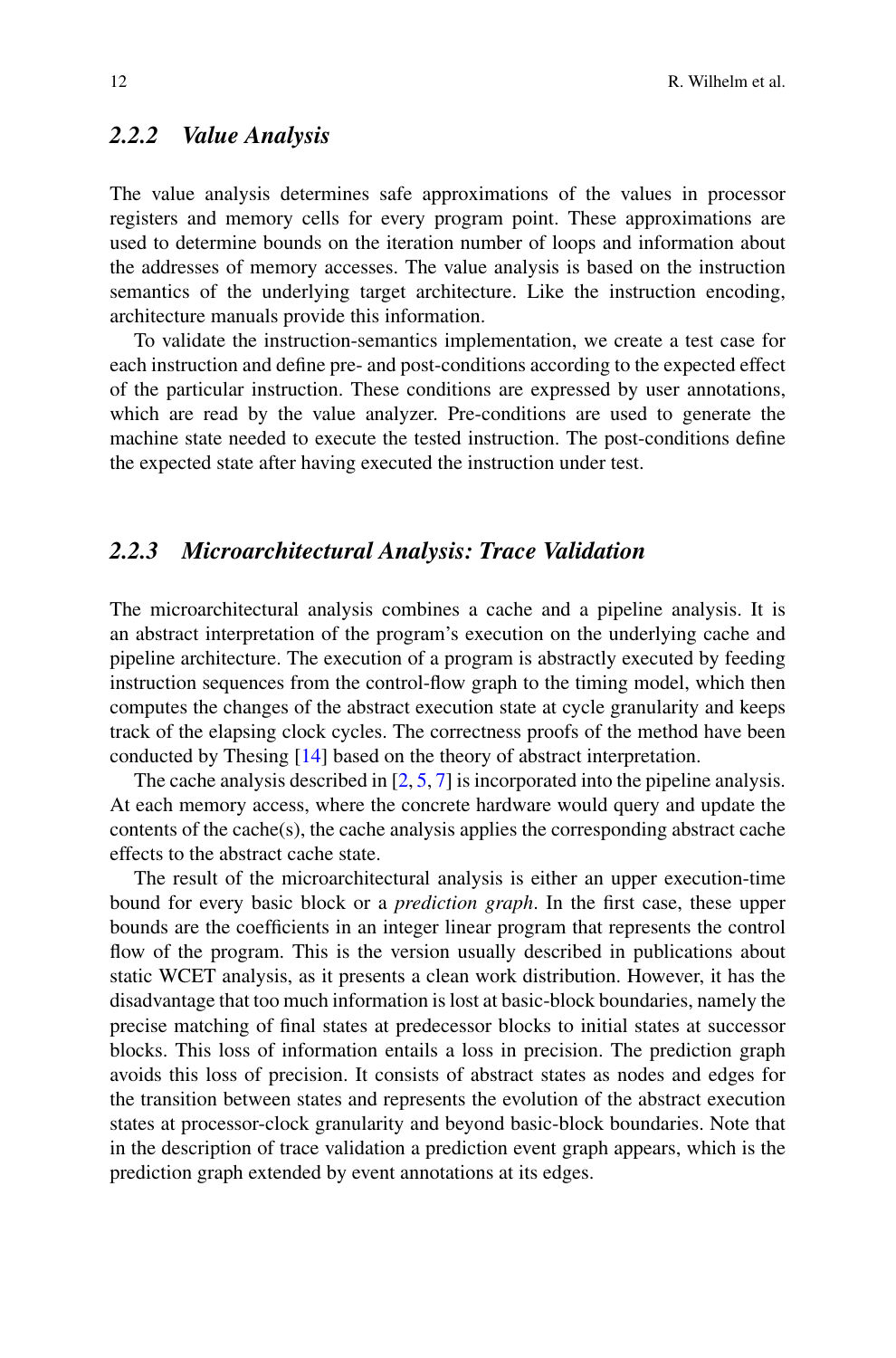#### *2.2.2 Value Analysis*

The value analysis determines safe approximations of the values in processor registers and memory cells for every program point. These approximations are used to determine bounds on the iteration number of loops and information about the addresses of memory accesses. The value analysis is based on the instruction semantics of the underlying target architecture. Like the instruction encoding, architecture manuals provide this information.

To validate the instruction-semantics implementation, we create a test case for each instruction and define pre- and post-conditions according to the expected effect of the particular instruction. These conditions are expressed by user annotations, which are read by the value analyzer. Pre-conditions are used to generate the machine state needed to execute the tested instruction. The post-conditions define the expected state after having executed the instruction under test.

#### <span id="page-7-0"></span>*2.2.3 Microarchitectural Analysis: Trace Validation*

The microarchitectural analysis combines a cache and a pipeline analysis. It is an abstract interpretation of the program's execution on the underlying cache and pipeline architecture. The execution of a program is abstractly executed by feeding instruction sequences from the control-flow graph to the timing model, which then computes the changes of the abstract execution state at cycle granularity and keeps track of the elapsing clock cycles. The correctness proofs of the method have been conducted by Thesing [\[14\]](#page-11-8) based on the theory of abstract interpretation.

The cache analysis described in  $[2, 5, 7]$  $[2, 5, 7]$  $[2, 5, 7]$  $[2, 5, 7]$  $[2, 5, 7]$  is incorporated into the pipeline analysis. At each memory access, where the concrete hardware would query and update the contents of the cache(s), the cache analysis applies the corresponding abstract cache effects to the abstract cache state.

The result of the microarchitectural analysis is either an upper execution-time bound for every basic block or a *prediction graph*. In the first case, these upper bounds are the coefficients in an integer linear program that represents the control flow of the program. This is the version usually described in publications about static WCET analysis, as it presents a clean work distribution. However, it has the disadvantage that too much information is lost at basic-block boundaries, namely the precise matching of final states at predecessor blocks to initial states at successor blocks. This loss of information entails a loss in precision. The prediction graph avoids this loss of precision. It consists of abstract states as nodes and edges for the transition between states and represents the evolution of the abstract execution states at processor-clock granularity and beyond basic-block boundaries. Note that in the description of trace validation a prediction event graph appears, which is the prediction graph extended by event annotations at its edges.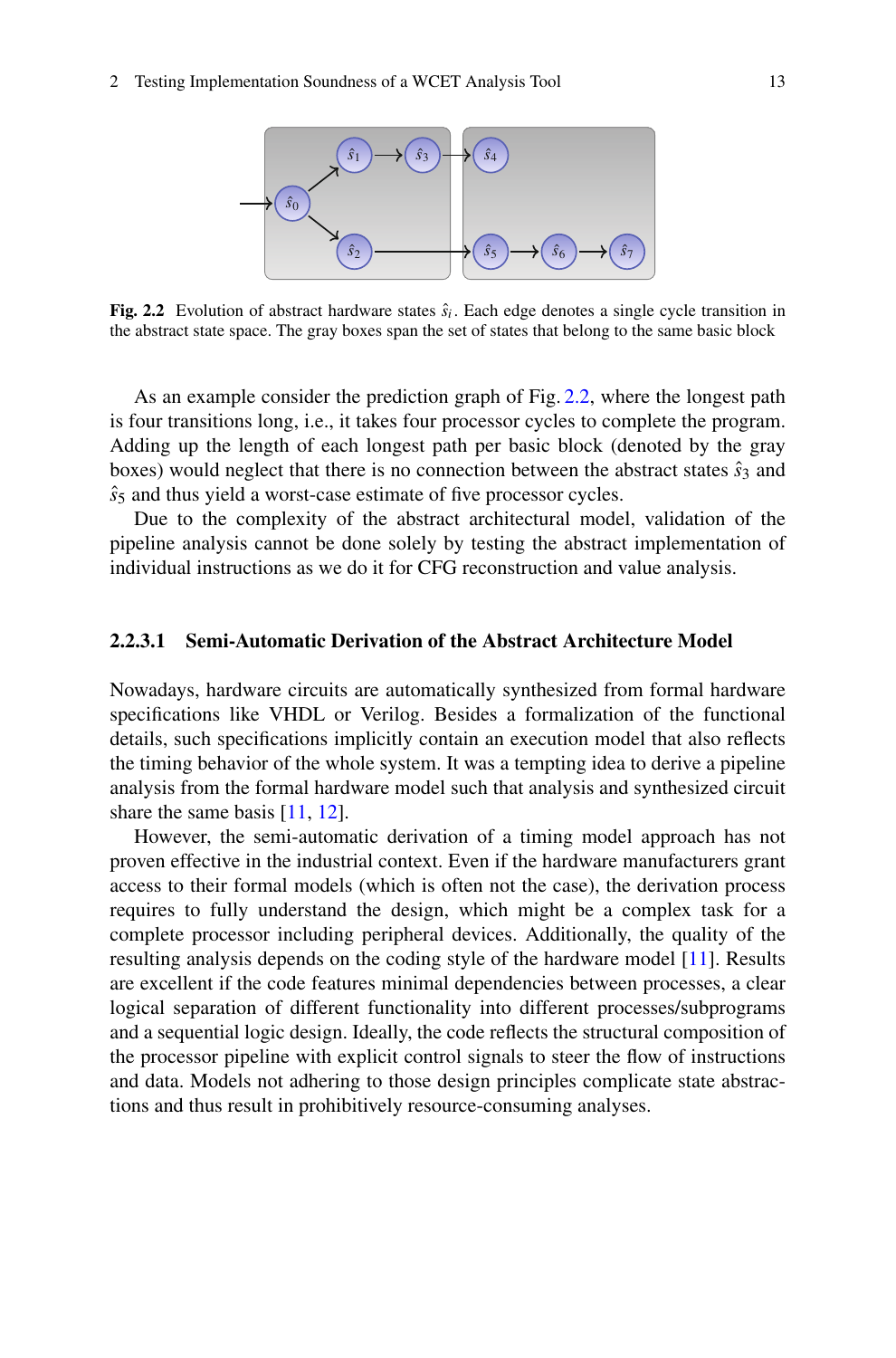

<span id="page-8-0"></span>**Fig. 2.2** Evolution of abstract hardware states  $\hat{s}$ <sub>i</sub>. Each edge denotes a single cycle transition in the abstract state space. The gray boxes span the set of states that belong to the same basic block

As an example consider the prediction graph of Fig. [2.2,](#page-8-0) where the longest path is four transitions long, i.e., it takes four processor cycles to complete the program. Adding up the length of each longest path per basic block (denoted by the gray boxes) would neglect that there is no connection between the abstract states  $\hat{s}_3$  and  $\hat{s}_5$  and thus yield a worst-case estimate of five processor cycles.

Due to the complexity of the abstract architectural model, validation of the pipeline analysis cannot be done solely by testing the abstract implementation of individual instructions as we do it for CFG reconstruction and value analysis.

#### **2.2.3.1 Semi-Automatic Derivation of the Abstract Architecture Model**

Nowadays, hardware circuits are automatically synthesized from formal hardware specifications like VHDL or Verilog. Besides a formalization of the functional details, such specifications implicitly contain an execution model that also reflects the timing behavior of the whole system. It was a tempting idea to derive a pipeline analysis from the formal hardware model such that analysis and synthesized circuit share the same basis [\[11,](#page-11-13) [12\]](#page-11-14).

However, the semi-automatic derivation of a timing model approach has not proven effective in the industrial context. Even if the hardware manufacturers grant access to their formal models (which is often not the case), the derivation process requires to fully understand the design, which might be a complex task for a complete processor including peripheral devices. Additionally, the quality of the resulting analysis depends on the coding style of the hardware model [\[11\]](#page-11-13). Results are excellent if the code features minimal dependencies between processes, a clear logical separation of different functionality into different processes/subprograms and a sequential logic design. Ideally, the code reflects the structural composition of the processor pipeline with explicit control signals to steer the flow of instructions and data. Models not adhering to those design principles complicate state abstractions and thus result in prohibitively resource-consuming analyses.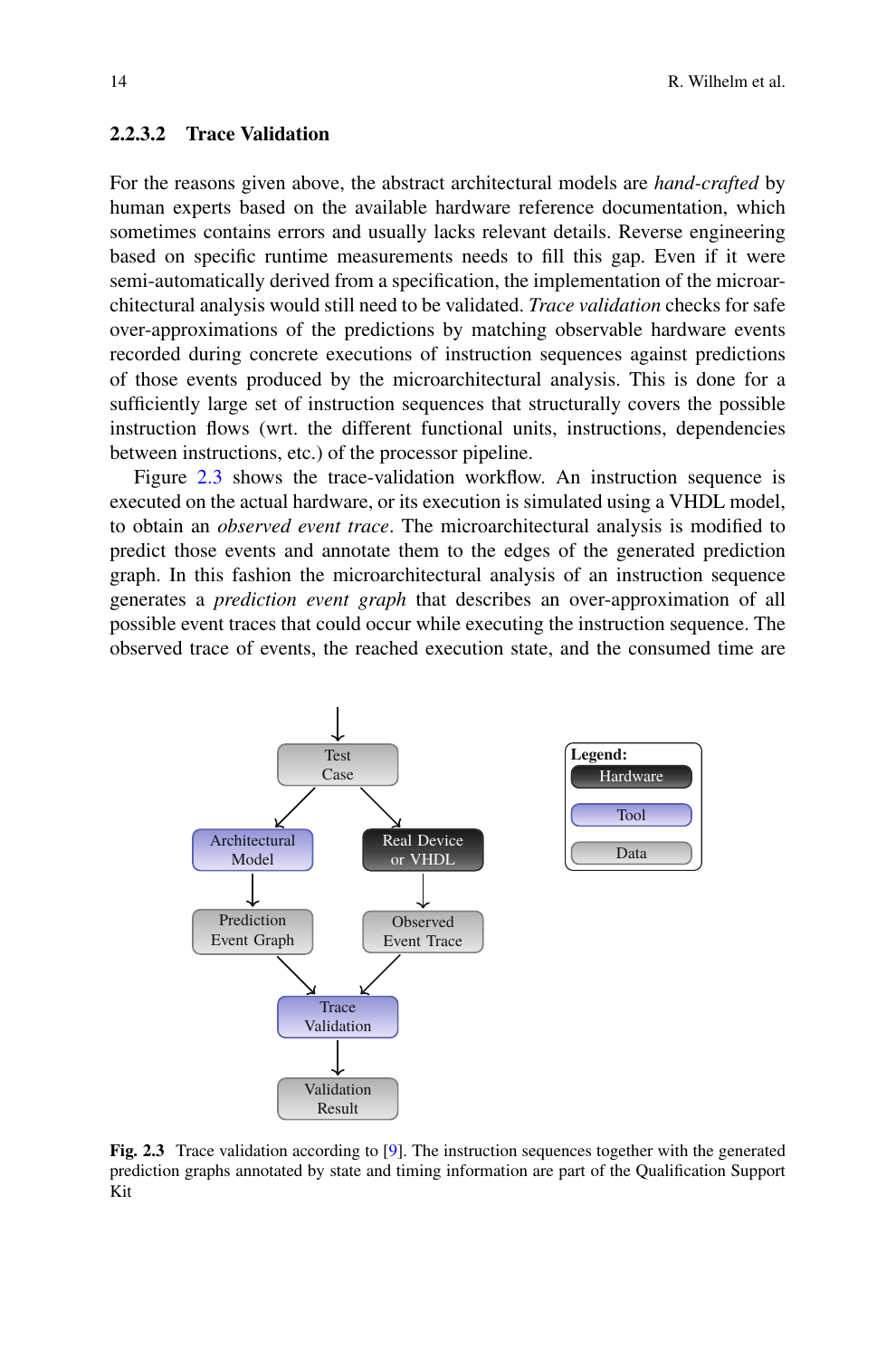#### **2.2.3.2 Trace Validation**

For the reasons given above, the abstract architectural models are *hand-crafted* by human experts based on the available hardware reference documentation, which sometimes contains errors and usually lacks relevant details. Reverse engineering based on specific runtime measurements needs to fill this gap. Even if it were semi-automatically derived from a specification, the implementation of the microarchitectural analysis would still need to be validated. *Trace validation* checks for safe over-approximations of the predictions by matching observable hardware events recorded during concrete executions of instruction sequences against predictions of those events produced by the microarchitectural analysis. This is done for a sufficiently large set of instruction sequences that structurally covers the possible instruction flows (wrt. the different functional units, instructions, dependencies between instructions, etc.) of the processor pipeline.

Figure [2.3](#page-9-0) shows the trace-validation workflow. An instruction sequence is executed on the actual hardware, or its execution is simulated using a VHDL model, to obtain an *observed event trace*. The microarchitectural analysis is modified to predict those events and annotate them to the edges of the generated prediction graph. In this fashion the microarchitectural analysis of an instruction sequence generates a *prediction event graph* that describes an over-approximation of all possible event traces that could occur while executing the instruction sequence. The observed trace of events, the reached execution state, and the consumed time are



<span id="page-9-0"></span>**Fig. 2.3** Trace validation according to [\[9\]](#page-11-15). The instruction sequences together with the generated prediction graphs annotated by state and timing information are part of the Qualification Support Kit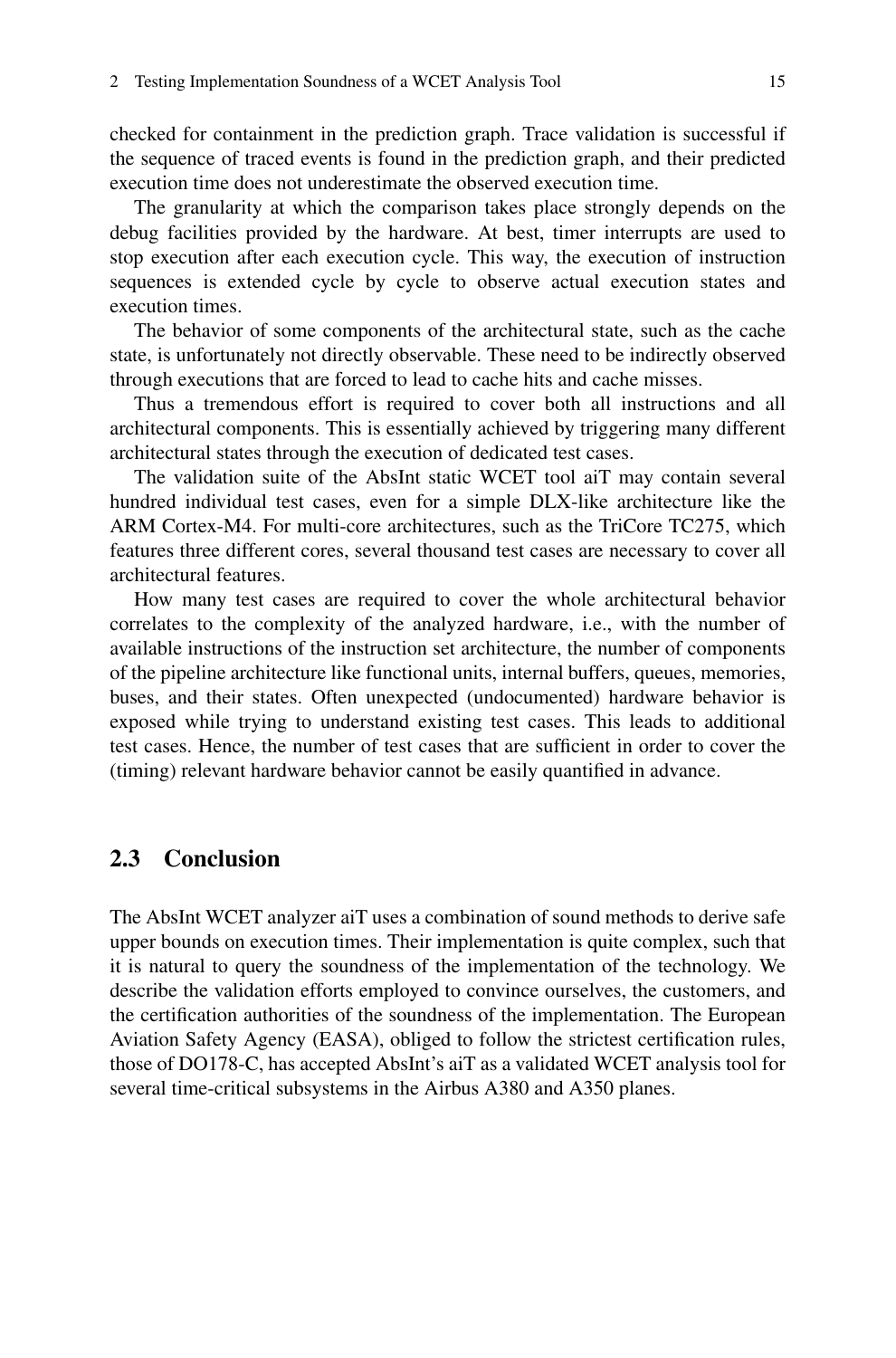checked for containment in the prediction graph. Trace validation is successful if the sequence of traced events is found in the prediction graph, and their predicted execution time does not underestimate the observed execution time.

The granularity at which the comparison takes place strongly depends on the debug facilities provided by the hardware. At best, timer interrupts are used to stop execution after each execution cycle. This way, the execution of instruction sequences is extended cycle by cycle to observe actual execution states and execution times.

The behavior of some components of the architectural state, such as the cache state, is unfortunately not directly observable. These need to be indirectly observed through executions that are forced to lead to cache hits and cache misses.

Thus a tremendous effort is required to cover both all instructions and all architectural components. This is essentially achieved by triggering many different architectural states through the execution of dedicated test cases.

The validation suite of the AbsInt static WCET tool aiT may contain several hundred individual test cases, even for a simple DLX-like architecture like the ARM Cortex-M4. For multi-core architectures, such as the TriCore TC275, which features three different cores, several thousand test cases are necessary to cover all architectural features.

How many test cases are required to cover the whole architectural behavior correlates to the complexity of the analyzed hardware, i.e., with the number of available instructions of the instruction set architecture, the number of components of the pipeline architecture like functional units, internal buffers, queues, memories, buses, and their states. Often unexpected (undocumented) hardware behavior is exposed while trying to understand existing test cases. This leads to additional test cases. Hence, the number of test cases that are sufficient in order to cover the (timing) relevant hardware behavior cannot be easily quantified in advance.

## **2.3 Conclusion**

The AbsInt WCET analyzer aiT uses a combination of sound methods to derive safe upper bounds on execution times. Their implementation is quite complex, such that it is natural to query the soundness of the implementation of the technology. We describe the validation efforts employed to convince ourselves, the customers, and the certification authorities of the soundness of the implementation. The European Aviation Safety Agency (EASA), obliged to follow the strictest certification rules, those of DO178-C, has accepted AbsInt's aiT as a validated WCET analysis tool for several time-critical subsystems in the Airbus A380 and A350 planes.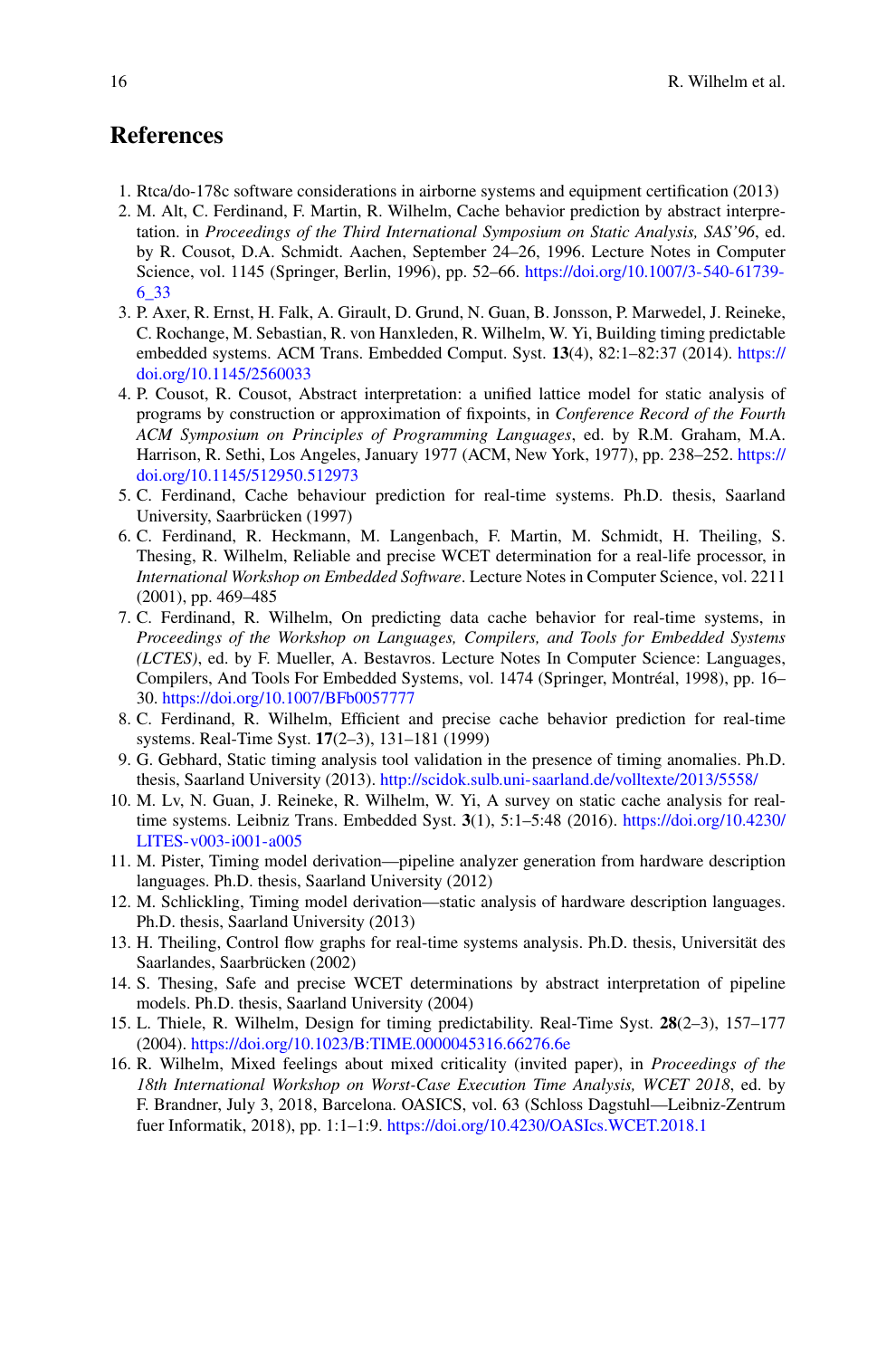## **References**

- <span id="page-11-1"></span>1. Rtca/do-178c software considerations in airborne systems and equipment certification (2013)
- <span id="page-11-10"></span>2. M. Alt, C. Ferdinand, F. Martin, R. Wilhelm, Cache behavior prediction by abstract interpretation. in *Proceedings of the Third International Symposium on Static Analysis, SAS'96*, ed. by R. Cousot, D.A. Schmidt. Aachen, September 24–26, 1996. Lecture Notes in Computer Science, vol. 1145 (Springer, Berlin, 1996), pp. 52–66. [https://doi.org/10.1007/3-540-61739-](https://doi.org/10.1007/3-540-61739-6_33) [6\\_33](https://doi.org/10.1007/3-540-61739-6_33)
- <span id="page-11-2"></span>3. P. Axer, R. Ernst, H. Falk, A. Girault, D. Grund, N. Guan, B. Jonsson, P. Marwedel, J. Reineke, C. Rochange, M. Sebastian, R. von Hanxleden, R. Wilhelm, W. Yi, Building timing predictable embedded systems. ACM Trans. Embedded Comput. Syst. **13**(4), 82:1–82:37 (2014). [https://](https://doi.org/10.1145/2560033) [doi.org/10.1145/2560033](https://doi.org/10.1145/2560033)
- <span id="page-11-4"></span>4. P. Cousot, R. Cousot, Abstract interpretation: a unified lattice model for static analysis of programs by construction or approximation of fixpoints, in *Conference Record of the Fourth ACM Symposium on Principles of Programming Languages*, ed. by R.M. Graham, M.A. Harrison, R. Sethi, Los Angeles, January 1977 (ACM, New York, 1977), pp. 238–252. [https://](https://doi.org/10.1145/512950.512973) [doi.org/10.1145/512950.512973](https://doi.org/10.1145/512950.512973)
- <span id="page-11-11"></span>5. C. Ferdinand, Cache behaviour prediction for real-time systems. Ph.D. thesis, Saarland University, Saarbrücken (1997)
- <span id="page-11-7"></span>6. C. Ferdinand, R. Heckmann, M. Langenbach, F. Martin, M. Schmidt, H. Theiling, S. Thesing, R. Wilhelm, Reliable and precise WCET determination for a real-life processor, in *International Workshop on Embedded Software*. Lecture Notes in Computer Science, vol. 2211 (2001), pp. 469–485
- <span id="page-11-12"></span>7. C. Ferdinand, R. Wilhelm, On predicting data cache behavior for real-time systems, in *Proceedings of the Workshop on Languages, Compilers, and Tools for Embedded Systems (LCTES)*, ed. by F. Mueller, A. Bestavros. Lecture Notes In Computer Science: Languages, Compilers, And Tools For Embedded Systems, vol. 1474 (Springer, Montréal, 1998), pp. 16– 30. <https://doi.org/10.1007/BFb0057777>
- <span id="page-11-5"></span>8. C. Ferdinand, R. Wilhelm, Efficient and precise cache behavior prediction for real-time systems. Real-Time Syst. **17**(2–3), 131–181 (1999)
- <span id="page-11-15"></span>9. G. Gebhard, Static timing analysis tool validation in the presence of timing anomalies. Ph.D. thesis, Saarland University (2013). <http://scidok.sulb.uni-saarland.de/volltexte/2013/5558/>
- <span id="page-11-6"></span>10. M. Lv, N. Guan, J. Reineke, R. Wilhelm, W. Yi, A survey on static cache analysis for realtime systems. Leibniz Trans. Embedded Syst. **3**(1), 5:1–5:48 (2016). [https://doi.org/10.4230/](https://doi.org/10.4230/LITES-v003-i001-a005) [LITES-v003-i001-a005](https://doi.org/10.4230/LITES-v003-i001-a005)
- <span id="page-11-13"></span>11. M. Pister, Timing model derivation—pipeline analyzer generation from hardware description languages. Ph.D. thesis, Saarland University (2012)
- <span id="page-11-14"></span>12. M. Schlickling, Timing model derivation—static analysis of hardware description languages. Ph.D. thesis, Saarland University (2013)
- <span id="page-11-9"></span>13. H. Theiling, Control flow graphs for real-time systems analysis. Ph.D. thesis, Universität des Saarlandes, Saarbrücken (2002)
- <span id="page-11-8"></span>14. S. Thesing, Safe and precise WCET determinations by abstract interpretation of pipeline models. Ph.D. thesis, Saarland University (2004)
- <span id="page-11-3"></span>15. L. Thiele, R. Wilhelm, Design for timing predictability. Real-Time Syst. **28**(2–3), 157–177 (2004). <https://doi.org/10.1023/B:TIME.0000045316.66276.6e>
- <span id="page-11-0"></span>16. R. Wilhelm, Mixed feelings about mixed criticality (invited paper), in *Proceedings of the 18th International Workshop on Worst-Case Execution Time Analysis, WCET 2018*, ed. by F. Brandner, July 3, 2018, Barcelona. OASICS, vol. 63 (Schloss Dagstuhl—Leibniz-Zentrum fuer Informatik, 2018), pp. 1:1–1:9. <https://doi.org/10.4230/OASIcs.WCET.2018.1>